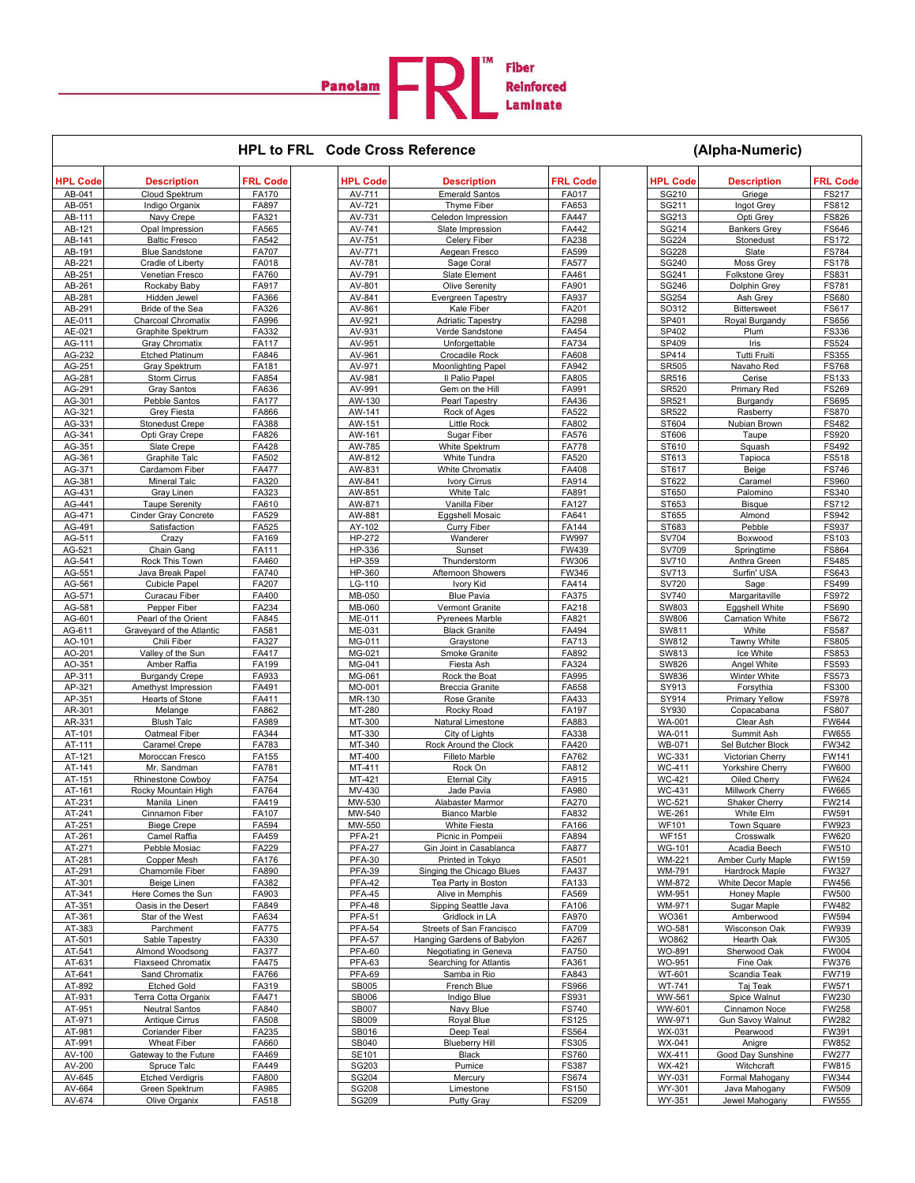

## **HPL to FRL Code Cross Reference (Alpha-Numeric)**

| HPL Code         | <b>Description</b>                           | <b>FRL Code</b> | HPL Code                | <b>Description</b>                              | <b>FRL Code</b> | <b>HPL Code</b>              | <b>Description</b>               | <b>FRL Code</b>              |
|------------------|----------------------------------------------|-----------------|-------------------------|-------------------------------------------------|-----------------|------------------------------|----------------------------------|------------------------------|
| AB-041           | Cloud Spektrum                               | FA170           | AV-711                  | <b>Emerald Santos</b>                           | FA017           | SG210                        | Griege                           | FS217                        |
| AB-051           | Indigo Organix                               | FA897           | AV-721                  | Thyme Fiber                                     | FA653           | SG211                        | Ingot Grey                       | FS812                        |
| AB-111<br>AB-121 | Navy Crepe<br>Opal Impression                | FA321<br>FA565  | AV-731<br>AV-741        | Celedon Impression<br>Slate Impression          | FA447<br>FA442  | SG213<br>SG214               | Opti Grey<br><b>Bankers Grey</b> | <b>FS826</b><br><b>FS646</b> |
| AB-141           | <b>Baltic Fresco</b>                         | FA542           | AV-751                  | Celery Fiber                                    | FA238           | SG224                        | Stonedust                        | <b>FS172</b>                 |
| AB-191           | <b>Blue Sandstone</b>                        | <b>FA707</b>    | AV-771                  | Aegean Fresco                                   | FA599           | <b>SG228</b>                 | Slate                            | <b>FS784</b>                 |
| AB-221           | Cradle of Liberty                            | FA018           | AV-781                  | Sage Coral                                      | FA577           | SG240                        | Moss Grey                        | <b>FS178</b>                 |
| AB-251           | Venetian Fresco                              | FA760           | AV-791                  | Slate Element                                   | FA461           | SG241                        | Folkstone Grey                   | <b>FS831</b>                 |
| AB-261           | Rockaby Baby                                 | FA917           | AV-801                  | <b>Olive Serenity</b>                           | FA901           | SG246                        | Dolphin Grey                     | <b>FS781</b>                 |
| AB-281           | Hidden Jewel                                 | FA366           | AV-841                  | Evergreen Tapestry                              | FA937           | SG254                        | Ash Grey                         | <b>FS680</b>                 |
| AB-291           | Bride of the Sea                             | FA326           | AV-861                  | Kale Fiber                                      | FA201           | SO312                        | <b>Bittersweet</b>               | FS617                        |
| AE-011           | Charcoal Chromatix                           | FA996           | AV-921                  | <b>Adriatic Tapestry</b>                        | FA298           | SP401                        | Royal Burgandy                   | <b>FS656</b>                 |
| AE-021           | Graphite Spektrum                            | FA332<br>FA117  | AV-931                  | Verde Sandstone<br>Unforgettable                | FA454<br>FA734  | SP402                        | Plum                             | <b>FS336</b>                 |
| AG-111<br>AG-232 | Gray Chromatix<br><b>Etched Platinum</b>     | FA846           | AV-951<br>AV-961        | Crocadile Rock                                  | FA608           | SP409<br>SP414               | Iris<br>Tutti Fruiti             | FS524<br><b>FS355</b>        |
| AG-251           | <b>Gray Spektrum</b>                         | FA181           | AV-971                  | <b>Moonlighting Papel</b>                       | FA942           | SR505                        | Navaho Red                       | <b>FS768</b>                 |
| AG-281           | Storm Cirrus                                 | FA854           | AV-981                  | Il Palio Papel                                  | FA805           | SR516                        | Cerise                           | FS133                        |
| AG-291           | <b>Gray Santos</b>                           | FA636           | AV-991                  | Gem on the Hill                                 | FA991           | <b>SR520</b>                 | Primary Red                      | <b>FS269</b>                 |
| AG-301           | Pebble Santos                                | <b>FA177</b>    | AW-130                  | Pearl Tapestry                                  | FA436           | SR521                        | Burgandy                         | <b>FS695</b>                 |
| AG-321           | Grey Fiesta                                  | FA866           | AW-141                  | Rock of Ages                                    | FA522           | SR522                        | Rasberry                         | <b>FS870</b>                 |
| AG-331           | <b>Stonedust Crepe</b>                       | FA388           | AW-151                  | <b>Little Rock</b>                              | FA802           | ST604                        | Nubian Brown                     | <b>FS482</b>                 |
| AG-341           | Opti Gray Crepe                              | FA826           | AW-161                  | Sugar Fiber                                     | FA576           | ST606                        | Taupe                            | FS920                        |
| AG-351           | Slate Crepe                                  | FA428           | AW-785                  | White Spektrum                                  | <b>FA778</b>    | ST610                        | Squash                           | FS492                        |
| AG-361           | <b>Graphite Talc</b>                         | FA502           | AW-812                  | White Tundra<br><b>White Chromatix</b>          | FA520<br>FA408  | ST613                        | Tapioca                          | <b>FS518</b>                 |
| AG-371<br>AG-381 | Cardamom Fiber<br><b>Mineral Talc</b>        | FA477<br>FA320  | AW-831<br>AW-841        | Ivory Cirrus                                    | FA914           | ST617<br>ST622               | Beige<br>Caramel                 | <b>FS746</b><br><b>FS960</b> |
| AG-431           | Gray Linen                                   | FA323           | AW-851                  | White Talc                                      | FA891           | ST650                        | Palomino                         | FS340                        |
| AG-441           | <b>Taupe Serenity</b>                        | FA610           | AW-871                  | Vanilla Fiber                                   | FA127           | ST653                        | <b>Bisque</b>                    | <b>FS712</b>                 |
| AG-471           | Cinder Gray Concrete                         | FA529           | AW-881                  | Eggshell Mosaic                                 | FA641           | ST655                        | Almond                           | FS942                        |
| AG-491           | Satisfaction                                 | FA525           | AY-102                  | Curry Fiber                                     | FA144           | ST683                        | Pebble                           | <b>FS937</b>                 |
| AG-511           | Crazy                                        | FA169           | HP-272                  | Wanderer                                        | <b>FW997</b>    | SV704                        | Boxwood                          | FS103                        |
| AG-521           | Chain Gang                                   | FA111           | HP-336                  | Sunset                                          | FW439           | SV709                        | Springtime                       | <b>FS864</b>                 |
| AG-541           | Rock This Town                               | FA460           | HP-359                  | Thunderstorm                                    | FW306           | SV710                        | Anthra Green                     | <b>FS485</b>                 |
| AG-551           | Java Break Papel                             | FA740           | HP-360                  | Afternoon Showers                               | FW346           | SV713                        | Surfin' USA                      | FS643                        |
| AG-561           | <b>Cubicle Papel</b>                         | FA207           | LG-110                  | Ivory Kid                                       | FA414           | SV720                        | Sage                             | <b>FS499</b>                 |
| AG-571<br>AG-581 | Curacau Fiber<br>Pepper Fiber                | FA400<br>FA234  | MB-050<br>MB-060        | <b>Blue Pavia</b><br>Vermont Granite            | FA375<br>FA218  | SV740<br>SW803               | Margaritaville<br>Eggshell White | <b>FS972</b><br>FS690        |
| AG-601           | Pearl of the Orient                          | FA845           | ME-011                  | Pyrenees Marble                                 | FA821           | <b>SW806</b>                 | <b>Carnation White</b>           | <b>FS672</b>                 |
| AG-611           | Graveyard of the Atlantic                    | FA581           | ME-031                  | <b>Black Granite</b>                            | FA494           | SW811                        | White                            | <b>FS587</b>                 |
| AO-101           | Chili Fiber                                  | FA327           | MG-011                  | Graystone                                       | FA713           | SW812                        | Tawny White                      | <b>FS805</b>                 |
| AO-201           | Valley of the Sun                            | FA417           | MG-021                  | Smoke Granite                                   | FA892           | SW813                        | Ice White                        | FS853                        |
| AO-351           | Amber Raffia                                 | FA199           | MG-041                  | Fiesta Ash                                      | FA324           | SW826                        | Angel White                      | FS593                        |
| AP-311           | <b>Burgandy Crepe</b>                        | FA933           | MG-061                  | Rock the Boat                                   | FA995           | SW836                        | Winter White                     | FS573                        |
| AP-321           | Amethyst Impression                          | FA491           | MO-001                  | <b>Breccia Granite</b>                          | FA658           | SY913                        | Forsythia                        | <b>FS300</b>                 |
| AP-351           | Hearts of Stone                              | FA411           | MR-130                  | Rose Granite                                    | FA433           | SY914                        | <b>Primary Yellow</b>            | <b>FS978</b>                 |
| AR-301<br>AR-331 | Melange<br><b>Blush Talc</b>                 | FA862<br>FA989  | MT-280<br>MT-300        | Rocky Road<br>Natural Limestone                 | FA197<br>FA883  | SY930<br><b>WA-001</b>       | Copacabana<br>Clear Ash          | <b>FS807</b><br><b>FW644</b> |
| AT-101           | Oatmeal Fiber                                | FA344           | MT-330                  | City of Lights                                  | FA338           | WA-011                       | Summit Ash                       | <b>FW655</b>                 |
| AT-111           | Caramel Crepe                                | FA783           | MT-340                  | Rock Around the Clock                           | FA420           | WB-071                       | Sel Butcher Block                | FW342                        |
| AT-121           | Moroccan Fresco                              | FA155           | MT-400                  | <b>Filleto Marble</b>                           | FA762           | WC-331                       | Victorian Cherry                 | FW141                        |
| AT-141           | Mr. Sandman                                  | FA781           | MT-411                  | Rock On                                         | FA812           | WC-411                       | Yorkshire Cherry                 | <b>FW600</b>                 |
| AT-151           | Rhinestone Cowboy                            | FA754           | MT-421                  | <b>Eternal City</b>                             | FA915           | <b>WC-421</b>                | Oiled Cherry                     | <b>FW624</b>                 |
| AT-161           | Rocky Mountain High                          | FA764           | MV-430                  | Jade Pavia                                      | FA980           | WC-431                       | Millwork Cherry                  | <b>FW665</b>                 |
| AT-231           | Manila Linen                                 | FA419           | MW-530                  | Alabaster Marmor                                | FA270           | WC-521                       | Shaker Cherry                    | FW214                        |
| AT-241           | Cinnamon Fiber                               | FA107           | MW-540                  | <b>Bianco Marble</b>                            | FA832           | <b>WE-261</b>                | White Elm                        | FW591                        |
| AT-251<br>AT-261 | <b>Biege Crepe</b><br>Camel Raffia           | FA594<br>FA459  | MW-550<br><b>PFA-21</b> | <b>White Fiesta</b><br>Picnic in Pompeii        | FA166<br>FA894  | <b>WF101</b><br><b>WF151</b> | <b>Town Square</b><br>Crosswalk  | <b>FW923</b><br><b>FW620</b> |
| AT-271           | Pebble Mosiac                                | FA229           | <b>PFA-27</b>           | Gin Joint in Casablanca                         | FA877           | WG-101                       | Acadia Beech                     | FW510                        |
| AT-281           | Copper Mesh                                  | FA176           | <b>PFA-30</b>           | Printed in Tokyo                                | FA501           | <b>WM-221</b>                | Amber Curly Maple                | FW159                        |
| AT-291           | Chamomile Fiber                              | FA890           | <b>PFA-39</b>           | Singing the Chicago Blues                       | FA437           | WM-791                       | Hardrock Maple                   | <b>FW327</b>                 |
| AT-301           | Beige Linen                                  | FA382           | <b>PFA-42</b>           | Tea Party in Boston                             | FA133           | WM-872                       | White Decor Maple                | FW456                        |
| AT-341           | Here Comes the Sun                           | FA903           | <b>PFA-45</b>           | Alive in Memphis                                | FA569           | WM-951                       | Honey Maple                      | <b>FW500</b>                 |
| AT-351           | Oasis in the Desert                          | FA849           | <b>PFA-48</b>           | Sipping Seattle Java                            | FA106           | WM-971                       | Sugar Maple                      | <b>FW482</b>                 |
| AT-361           | Star of the West                             | FA634           | <b>PFA-51</b>           | Gridlock in LA                                  | FA970           | WO361                        | Amberwood                        | <b>FW594</b>                 |
| AT-383           | Parchment                                    | <b>FA775</b>    | <b>PFA-54</b>           | Streets of San Francisco                        | FA709           | WO-581                       | Wisconson Oak                    | <b>FW939</b>                 |
| AT-501           | Sable Tapestry                               | FA330           | <b>PFA-57</b>           | Hanging Gardens of Babylon                      | FA267           | WO862                        | Hearth Oak                       | FW305                        |
| AT-541<br>AT-631 | Almond Woodsong<br><b>Flaxseed Chromatix</b> | FA377<br>FA475  | <b>PFA-60</b><br>PFA-63 | Negotiating in Geneva<br>Searching for Atlantis | FA750<br>FA361  | WO-891<br>WO-951             | Sherwood Oak<br>Fine Oak         | <b>FW004</b><br>FW376        |
| AT-641           | Sand Chromatix                               | FA766           | <b>PFA-69</b>           | Samba in Rio                                    | FA843           | WT-601                       | Scandia Teak                     | FW719                        |
| AT-892           | <b>Etched Gold</b>                           | FA319           | SB005                   | French Blue                                     | <b>FS966</b>    | WT-741                       | Taj Teak                         | FW571                        |
| AT-931           | Terra Cotta Organix                          | FA471           | SB006                   | Indigo Blue                                     | FS931           | WW-561                       | Spice Walnut                     | <b>FW230</b>                 |
| AT-951           | Neutral Santos                               | FA840           | SB007                   | Navy Blue                                       | <b>FS740</b>    | WW-601                       | Cinnamon Noce                    | <b>FW258</b>                 |
| AT-971           | Antique Cirrus                               | FA508           | SB009                   | Royal Blue                                      | <b>FS125</b>    | WW-971                       | Gun Savoy Walnut                 | <b>FW282</b>                 |
| AT-981           | Coriander Fiber                              | FA235           | SB016                   | Deep Teal                                       | FS564           | WX-031                       | Pearwood                         | FW391                        |
| AT-991           | Wheat Fiber                                  | FA660           | SB040                   | <b>Blueberry Hill</b>                           | FS305           | WX-041                       | Anigre                           | FW852                        |
| AV-100           | Gateway to the Future                        | FA469           | SE101                   | Black                                           | <b>FS760</b>    | WX-411                       | Good Day Sunshine                | <b>FW277</b>                 |
| AV-200           | Spruce Talc                                  | FA449           | SG203                   | Pumice                                          | <b>FS387</b>    | WX-421                       | Witchcraft                       | FW815                        |
| AV-645<br>AV-664 | <b>Etched Verdigris</b><br>Green Spektrum    | FA800<br>FA985  | SG204<br><b>SG208</b>   | Mercury<br>Limestone                            | FS674<br>FS150  | WY-031<br>WY-301             | Formal Mahogany<br>Java Mahogany | FW344<br>FW509               |
| AV-674           | Olive Organix                                | FA518           | <b>SG209</b>            | Putty Gray                                      | FS209           | WY-351                       | Jewel Mahogany                   | <b>FW555</b>                 |
|                  |                                              |                 |                         |                                                 |                 |                              |                                  |                              |